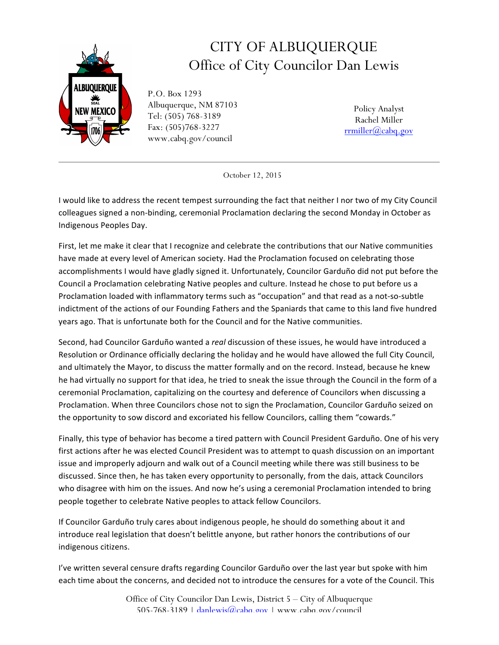

## CITY OF ALBUQUERQUE Office of City Councilor Dan Lewis

P.O. Box 1293 Albuquerque, NM 87103 Tel: (505) 768-3189 Fax: (505)768-3227 www.cabq.gov/council

Policy Analyst Rachel Miller rrmiller@cabq.gov

October 12, 2015

I would like to address the recent tempest surrounding the fact that neither I nor two of my City Council colleagues signed a non-binding, ceremonial Proclamation declaring the second Monday in October as Indigenous Peoples Day.

First, let me make it clear that I recognize and celebrate the contributions that our Native communities have made at every level of American society. Had the Proclamation focused on celebrating those accomplishments I would have gladly signed it. Unfortunately, Councilor Garduño did not put before the Council a Proclamation celebrating Native peoples and culture. Instead he chose to put before us a Proclamation loaded with inflammatory terms such as "occupation" and that read as a not-so-subtle indictment of the actions of our Founding Fathers and the Spaniards that came to this land five hundred years ago. That is unfortunate both for the Council and for the Native communities.

Second, had Councilor Garduño wanted a *real* discussion of these issues, he would have introduced a Resolution or Ordinance officially declaring the holiday and he would have allowed the full City Council, and ultimately the Mayor, to discuss the matter formally and on the record. Instead, because he knew he had virtually no support for that idea, he tried to sneak the issue through the Council in the form of a ceremonial Proclamation, capitalizing on the courtesy and deference of Councilors when discussing a Proclamation. When three Councilors chose not to sign the Proclamation, Councilor Garduño seized on the opportunity to sow discord and excoriated his fellow Councilors, calling them "cowards."

Finally, this type of behavior has become a tired pattern with Council President Garduño. One of his very first actions after he was elected Council President was to attempt to quash discussion on an important issue and improperly adjourn and walk out of a Council meeting while there was still business to be discussed. Since then, he has taken every opportunity to personally, from the dais, attack Councilors who disagree with him on the issues. And now he's using a ceremonial Proclamation intended to bring people together to celebrate Native peoples to attack fellow Councilors.

If Councilor Garduño truly cares about indigenous people, he should do something about it and introduce real legislation that doesn't belittle anyone, but rather honors the contributions of our indigenous citizens.

I've written several censure drafts regarding Councilor Garduño over the last year but spoke with him each time about the concerns, and decided not to introduce the censures for a vote of the Council. This